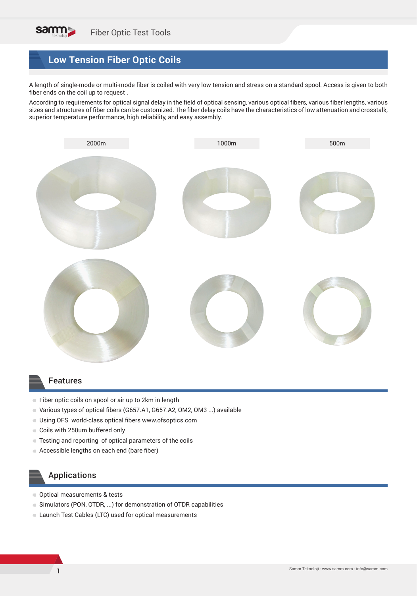

# **Low Tension Fiber Optic Coils**

A length of single-mode or multi-mode fiber is coiled with very low tension and stress on a standard spool. Access is given to both fiber ends on the coil up to request .

According to requirements for optical signal delay in the field of optical sensing, various optical fibers, various fiber lengths, various sizes and structures of fiber coils can be customized. The fiber delay coils have the characteristics of low attenuation and crosstalk, superior temperature performance, high reliability, and easy assembly.



#### Features

- Fiber optic coils on spool or air up to 2km in length
- Various types of optical fibers (G657.A1, G657.A2, OM2, OM3 ...) available
- Using OFS world-class optical fibers www.ofsoptics.com
- Coils with 250um buffered only
- Testing and reporting of optical parameters of the coils
- Accessible lengths on each end (bare fiber)

### Applications

- **Optical measurements & tests**
- Simulators (PON, OTDR, ...) for demonstration of OTDR capabilities
- Launch Test Cables (LTC) used for optical measurements